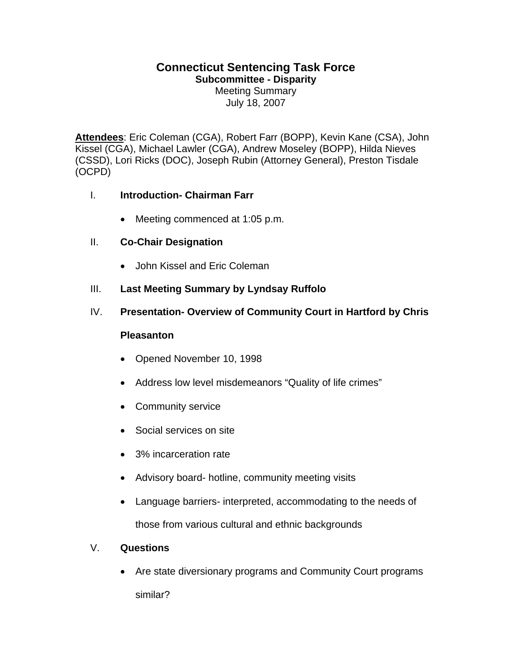# **Connecticut Sentencing Task Force**

**Subcommittee - Disparity** 

Meeting Summary July 18, 2007

**Attendees**: Eric Coleman (CGA), Robert Farr (BOPP), Kevin Kane (CSA), John Kissel (CGA), Michael Lawler (CGA), Andrew Moseley (BOPP), Hilda Nieves (CSSD), Lori Ricks (DOC), Joseph Rubin (Attorney General), Preston Tisdale (OCPD)

#### I. **Introduction- Chairman Farr**

• Meeting commenced at 1:05 p.m.

## II. **Co-Chair Designation**

- John Kissel and Eric Coleman
- III. **Last Meeting Summary by Lyndsay Ruffolo**
- IV. **Presentation- Overview of Community Court in Hartford by Chris**

#### **Pleasanton**

- Opened November 10, 1998
- Address low level misdemeanors "Quality of life crimes"
- Community service
- Social services on site
- 3% incarceration rate
- Advisory board- hotline, community meeting visits
- Language barriers- interpreted, accommodating to the needs of those from various cultural and ethnic backgrounds

#### V. **Questions**

• Are state diversionary programs and Community Court programs similar?